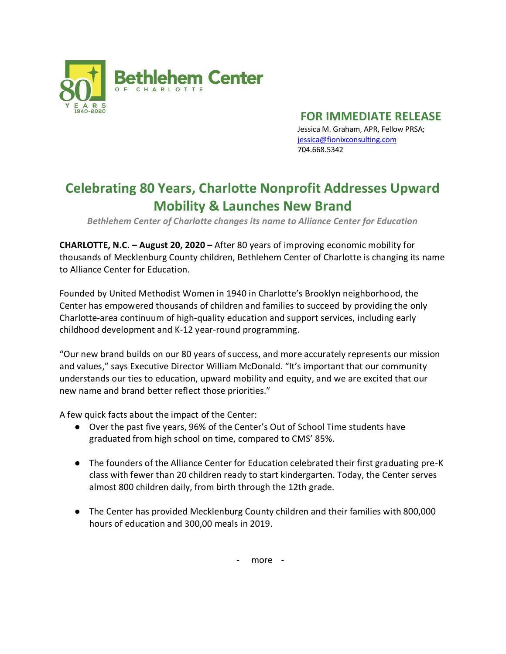

**FOR IMMEDIATE RELEASE**

Jessica M. Graham, APR, Fellow PRSA; [jessica@fionixconsulting.com](mailto:jessica@fionixconsulting.com) 704.668.5342

## **Celebrating 80 Years, Charlotte Nonprofit Addresses Upward Mobility & Launches New Brand**

*Bethlehem Center of Charlotte changes its name to Alliance Center for Education*

**CHARLOTTE, N.C. – August 20, 2020 –** After 80 years of improving economic mobility for thousands of Mecklenburg County children, Bethlehem Center of Charlotte is changing its name to Alliance Center for Education.

Founded by United Methodist Women in 1940 in Charlotte's Brooklyn neighborhood, the Center has empowered thousands of children and families to succeed by providing the only Charlotte-area continuum of high-quality education and support services, including early childhood development and K-12 year-round programming.

"Our new brand builds on our 80 years of success, and more accurately represents our mission and values," says Executive Director William McDonald. "It's important that our community understands our ties to education, upward mobility and equity, and we are excited that our new name and brand better reflect those priorities."

A few quick facts about the impact of the Center:

- Over the past five years, 96% of the Center's Out of School Time students have graduated from high school on time, compared to CMS' 85%.
- The founders of the Alliance Center for Education celebrated their first graduating pre-K class with fewer than 20 children ready to start kindergarten. Today, the Center serves almost 800 children daily, from birth through the 12th grade.
- The Center has provided Mecklenburg County children and their families with 800,000 hours of education and 300,00 meals in 2019.

- more -